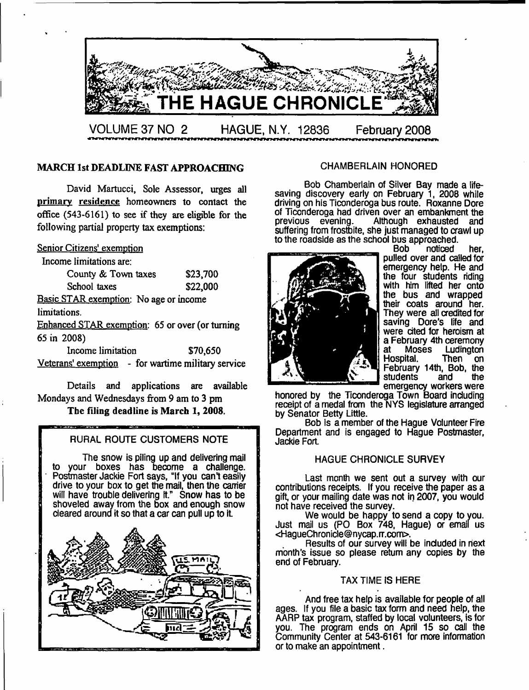

# MARCH 1st DEADLINE FAST APPROACHING CHAMBERLAIN HONORED

David Martucci, Sole Assessor, urges all primary residence homeowners to contact the office (543-6161) to see if they are eligible for the following partial property tax exemptions:

#### Senior Citizens' exemption

Income limitations are:

| County & Town taxes                    | \$23,700 |
|----------------------------------------|----------|
| School taxes                           | \$22,000 |
| Basic STAR exemption: No age or income |          |
| limitatione                            |          |

limitations.

Enhanced STAR exemption: 65 or over (or turning 65 in 2008)

Income limitation \$70,650 Veterans' exemption - for wartime military service

Details and applications are available Mondays and Wednesdays from 9 am to 3 pm The filing deadline is March 1, 2008.

### RURAL ROUTE CUSTOMERS NOTE

The snow is piling up and delivering mail to your boxes has become a challenge. Postmaster Jackie Fort says, "If you can't easily drive to your box to get the mail, then the carrier will have trouble delivering it." Snow has to be shoveled away from the box and enough snow cleared around it so that a car can pull up to it **Inc.**<br>Inc.<br>Inc.



Bob Chamberlain of Silver Bay made a lifesaving discovery early on February 1, 2008 while driving on his Ticonderoga bus route. Roxanne Dore of Ticonderoga had driven over an embankment the<br>previous evening. Although exhausted and Although exhausted suffering from frostbite, she just managed to crawl up to the roadside as the school bus approached.<br>Bob noticed



noticed her, pulled over and called for emergency help. He and the four students riding with him lifted her onto the bus and wrapped their coats around her. They were all credited for saving Dore's life and were cited for heroism at a February 4th ceremony<br>at Moses Ludington at Moses Ludington<br>Hospital. Then on Hospital. Then on February 14th, Bob, the students and the emergency workers were

honored by the Ticonderoga Town Board including receipt of a medal from the NYS legislature arranged by Senator Betty Little.

Bob is a member of the Hague Volunteer Fire Department and is engaged to Hague Postmaster, Jackie Fort

### HAGUE CHRONICLE SURVEY

Last month we sent out a survey with our contributions receipts. If you receive the paper as a gift, or your mailing date was not in 2007, you would not have received the survey.

We would be happy to send a copy to you. Just mail us (PO Box 748, Hague) or email us <HagueChronicle @nycap, rr.com>.

Results of our survey will be included in next month's issue so please return any copies by the end of February.

#### TAX TIME IS HERE

And free tax help is available for people of all ages. If you file a basic tax form and need help, the AARP tax program, staffed by local volunteers, is for you. The program ends on April 15 so call the Community Center at 543-6161 for more information or to make an appointment.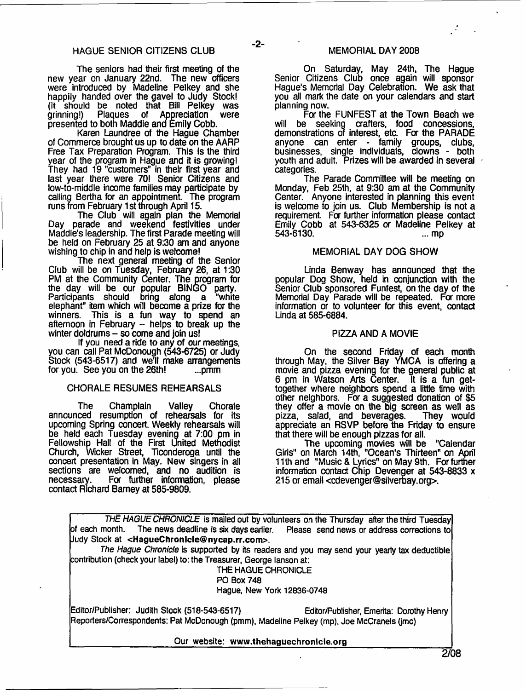$-2-$ 

The seniors had their first meeting of the new year on January 22nd. The new officers were introduced by Madeline Pelkey and she happily handed over the gavel to Judy Stock! (it should be noted that Bill Pelkey was grinning!) Plaques of Appreciation were presented to both Maddie and Emily Cobb.

Karen Laundree of the Hague Chamber of Commerce brought us up to date on the AARP Free Tax Preparation Program. This is the third year of the program in Hague and it is growing! They had 19 "customers" in their first year and last year there were 70! Senior Citizens and low-to-middle income families may participate by calling Bertha for an appointment The program runs from February 1st through April 15.

The Club will again plan the Memorial Day parade and weekend festivities under Maddie's leadership. The first Parade meeting will be held on February 25 at 9:30 am and anyone wishing to chip in and help is welcome!

The next general meeting of the Senior Club will be on Tuesday, February 26, at 1:30 PM at the Community Center. The program for the day will be our popular BINGO party. Participants should bring along a "white elephant" item which will become a prize for the winners. This is a fun way to spend an afternoon in February - helps to break up the winter doldrums -- so come and join us!

If you need a ride to any of our meetings, you can call Pat McDonough (543-6725) or Judy Stock (543-6517) and we'll make arrangements for you. See you on the  $26$ th!

#### CHORALE RESUMES REHEARSALS

The Champlain Valley Chorale announced resumption of rehearsals for its upcoming Spring concert. Weekly rehearsals will be held each Tuesday evening at 7:00 pm in Fellowship Hall of the First United Methodist Church, Wicker Street, Ticonderoga until the concert presentation in May. New singers in all sections are welcomed, and no audition is necessary. For further information, please contact Richard Barney at 585-9809.

On Saturday, May 24th, The Hague Senior Citizens Club once again will sponsor Hague's Memorial Day Celebration. We ask that you all mark the date on your calendars and start planning now.

Fa the FUNFEST at the Town Beach we will be seeking crafters, food concessions, demonstrations of interest, etc. Fa the PARADE anyone can enter - family groups, clubs, businesses, single individuals, clowns - both youth and adult. Prizes will be awarded in several categories.

The Parade Committee will be meeting on Monday, Feb 25th, at 9:30 am at the Community Center. Anyone interested in planning this event is welcome to join us. Club Membership is not a requirement. For further information please contact Emily Cobb at 543-6325 a Madeline Pelkey at 543-6130. ... mp

#### MEMORIAL DAY DOG SHOW

Linda Benway has announced that the popular Dog Show, held in conjunction with the Senior Club sponsored Funfest, on the day of the Memorial Day Parade will be repeated. For more information or to volunteer for this event, contact Linda at 585-6884.

#### PIZZA AND A MOVIE

On the second Friday of each month through May, the Silver Bay YMCA is offering a movie and pizza evening for the general public at 6 pm in Watson Arts Center. It is a fun gettogether where neighbors spend a little time with other neighbors. For a suggested donation of \$5 they offer a movie on the big screen as well as pizza, salad, and beverages. They would appreciate an RSVP before the Friday to ensure that there will be enough pizzas for all.

The upcoming movies will be "Calendar Girls" on March 14th, "Ocean's Thirteen" on April 11th and "Music & Lyrics" on May 9th. For further information contact Chip Devenger at 543-8833 x 215 or email <[cdevenger@silverbay.org](mailto:cdevenger@silverbay.org)>.

|                                                                                                  | THE HAGUE CHRONICLE is mailed out by volunteers on the Thursday after the third Tuesday     |  |
|--------------------------------------------------------------------------------------------------|---------------------------------------------------------------------------------------------|--|
| of each month. The news deadline is six days earlier. Please send news or address corrections to |                                                                                             |  |
| Uudy Stock at <haguechronicle@nycap.rr.com>.</haguechronicle@nycap.rr.com>                       |                                                                                             |  |
|                                                                                                  | The Hague Chronicle is supported by its readers and you may send your yearly tax deductible |  |
| contribution (check your label) to: the Treasurer, George lanson at:                             |                                                                                             |  |
| THE HAGUE CHRONICLE                                                                              |                                                                                             |  |
| <b>PO Box 748</b>                                                                                |                                                                                             |  |
| Hague, New York 12836-0748                                                                       |                                                                                             |  |
| Editor/Publisher: Judith Stock (518-543-6517)                                                    | Editor/Publisher, Emerita: Dorothy Henry                                                    |  |
| Reporters/Correspondents: Pat McDonough (pmm), Madeline Pelkey (mp), Joe McCranels (jmc)         |                                                                                             |  |
| Our website: www.thehaguechronicle.org                                                           |                                                                                             |  |
|                                                                                                  | $\Omega$                                                                                    |  |

**2/08**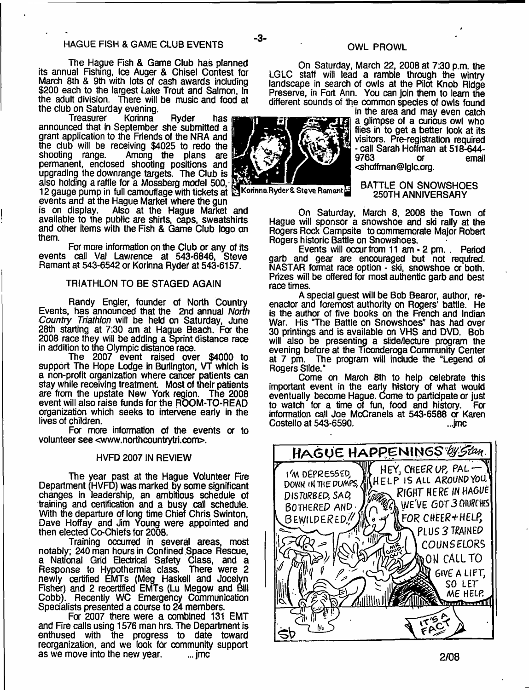The Hague Fish & Game Club has planned its annual Fishing, Ice Auger & Chisel Contest for March 8th & 9th with lots of cash awards including \$200 each to the largest Lake Trout and Salmon, In the adult division. There will be music and food at the club on Saturday evening.<br>Treasurer Korinna

Treasurer Korinna Ryder has announced that in September she submitted a grant application to the Friends of the NRA and the dub will be receiving \$4025 to redo the<br>shooting range. Among the plans are Among the plans are permanent, enclosed shooting positions and upgrading the downrange targets. The Club is also holding a raffle for a Mossberg model 500, 12 gauge pump in full camouflage with tickets at Norinna Ryder & Steve Ramant

events and at the Hague Market where the gun<br>is on display. Also at the Hague Market Also at the Hague Market and available to the public are shirts, caps, sweatshirts and other items with the Fish & Game Club logo on them.

For more information on the Club or any of its events call Val Lawrence at 543-6846, Steve Ramant at 543-6542 or Korinna Ryder at 543-6157.

#### TRIATHLON TO BE STAGED AGAIN

Randy Engler, founder of North Country Events, has announced that the 2nd annual *North Country Triathlon* will be held on Saturday, June 28th starting at 7:30 am at Hague Beach. For the 2008 race they will be adding a Sprint distance race in addition to the Olympic distanoe race.

The 2007 event raised over \$4000 to support The Hope Lodge in Burlington, VT which is a non-profit organization where cancer patients can stay while receiving treatment. Most of their patients are from the upstate New York region. The 2008 event will also raise funds for the ROOM-TO-READ organization which seeks to intervene early in the lives of children.

For more information of the events or to volunteer see <[www.northcountrytri.com>](http://www.northcountrytri.com).

#### HVFD 2007 IN REVIEW

The year past at the Hague Volunteer Fire Department (HVFD) was marked by some significant changes in leadership, an ambitious schedule of training and certification and a busy call schedule. With the departure of long time Chief Chris Swinton, Dave Hoffay and Jim Young were appointed and then elected Co-Chiefs for 2008.

Training occurred in several areas, most notably; 240 man hours in Confined Space Rescue, a National Grid Electrical Safety Class, and a Response to Hypothermia class. There were 2 newly certified EMTs (Meg Haskell and Jocelyn Fisher) and 2 recertified EMTs (Lu Megow and Bill Cobb). Recently WC Emergency Communication Specialists presented a course to 24 members.

For 2007 there were a combined 131 EMT and Fire calls using 1576 man hrs. The Department is enthused with the progress to date toward reorganization, and we look for community support as we move into the new year.  $\ldots$  imc.

#### OWL PROWL

On Saturday, March 22, 2008 at 7:30 p.m. the LGLC staff will lead a ramble through the wintry landscape in search of owls at the Pilot Knob Ridge Preserve, in Fort Ann. You can join them to learn the different sounds of the common species of owls found



- **3**-

#### BATTLE ON SNOWSHOES 250TH ANNIVERSARY

in the area and may even catch

On Saturday, March 8, 2008 the Town of Hague will sponsor a snowshoe and ski rally at the Rogers Rock Campsite to commemorate Major Robert Rogers historic Battle on Snowshoes.

Events will occur from 11 am - 2 pm. . Period garb and gear are encouraged but not required. NASTAR format race option - ski, snowshoe or both. Prizes will be offered for most authentic garb and best race times.

A special guest will be Bob Bearor, author, reenactor and foremost authority on Rogers' battle. He is the author of five books on the French and Indian War, His 'The Battle on Snowshoes" has had over 30 printings and is available on VHS and DVD. Bob will also be presenting a slide/lecture program the evening before at the Ticonderoga Community Center at 7 pm. The program will include the "Legend of Rogers Slide."

Come on March 8th to help celebrate this important event in the early history of what would eventually become Hague. Come to participate or just to watch for a time of fun, food and history. For information call Joe McCranels at 543-6588 or Karen Costello at 543-6590. ...jmc

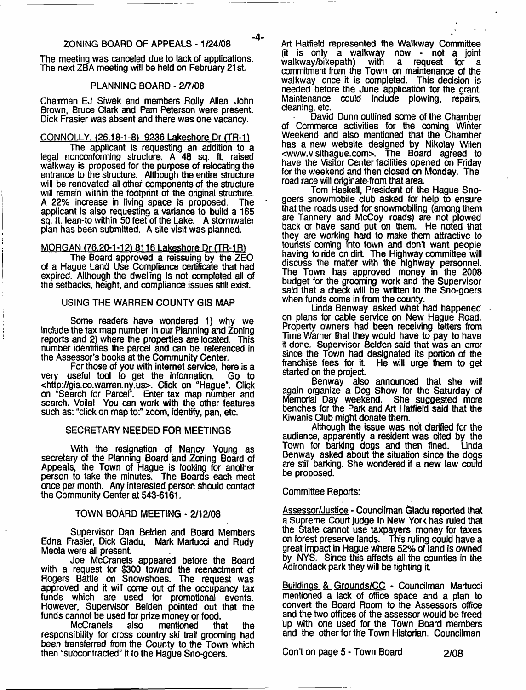The meeting was canceled due to lack of applications. The next ZBA meeting will be held on February 21 st.

#### PLANNING BOARD - 2/7/08

Chairman EJ Siwek and members Roily Allen, John Brown, Bruoe Clark and Pam Peterson were present. Dick Frasier was absent and there was one vacancy.

#### CONNOLLY. <26.18-1-81 9236 Lakeshore Dr (TR-11

The applicant is requesting an addition to a legal nonconforming structure. A 48 sq. ft. raised walkway is proposed for the purpose of relocating the entrance to the structure. Although the entire structure will be renovated all other components of the structure will remain within the footprint of the original structure. A 22% increase in living space is proposed. The applicant is also requesting a variance to build a 165 sq. ft. lean-to within 50 feet of the Lake. A stormwater plan has been submitted. A site visit was planned.

#### MORGAN (76.20-1-12) 8116 Lakeshore Dr (TR-1R)

The Board approved a reissuing by the ZEO of a Hague Land Use Compliance certificate that had expired. Although the dwelling is not completed all of the setbacks, height, and compliance issues still exist.

#### USING THE WARREN COUNTY GIS MAP

Some readers have wondered 1) why we include the tax map number in our Planning and Zoning reports and 2) where the properties are located. This number identifies the parcel and can be referenced in the Assessor's books at the Community Center.

For those of you with internet service, here is a very useful tool to get the information. Go to <<http://gis.co.warren.ny.us>>. Click on "Hague". Click on "Search for Parcel". Enter tax map number and search. Voilal You can work with the other features such as: "click on map to:" zoom, identify, pan, etc.

#### SECRETARY NEEDED FOR MEETINGS

With the resignation of Nancy Young as secretary of the Planning Board and Zoning Board of Appeals, the Town of Hague is looking for another person to take the minutes. The Boards each meet once per month. Any interested person should contact the Community Center at 543-6161.

#### TOWN BOARD MEETING - 2/12/08

Supervisor Dan Belden and Board Members Edna Frasier, Dick Gladu, Mark Martucd and Rudy Meola were all present.

Joe McCranels appeared before the Board with a request for \$300 toward the reenactment of Rogers Battle on Snowshoes. The request was approved and it will come out of the occupancy tax funds which are used for promotional events. However, Supervisor Belden pointed out that the funds cannot be used for prize money or food.

McCranels also mentioned that the responsibility for cross country ski trail grooming had been transferred from the County to the Town which then "subcontracted" it to the Hague Sno-goers.

Art Hatfield represented the Walkway Committee (it is only a walkway now - not a joint  $w$ alkway/bikepath) with a request for commitment from the Town on maintenance of the walkway once it is completed. This decision is needed before the June application for the grant Maintenance could include plowing, repairs, cleaning, etc.

David Dunn outlined some of the Chamber of Commerce activities for the coming Winter Weekend and also mentioned that the Chamber has a new website designed by Nikolay Wilen [<www.visithague.com>](http://www.visithague.com). The Board agreed to have the Visitor Center facilities opened on Friday for the weekend and then closed on Monday. The road race will originate from that area.

Tom Haskell, President of the Hague Snogoers snowmobile club asked for help to ensure that the roads used for snowmobiling (among them are Tannery and McCoy roads) are not plowed back or have sand put on them. He noted that they are working hard to make them attractive to tourists coming into town and don't want people having to ride on dirt. The Highway committee will discuss the matter with the highway personnel. The Town has approved money in the 2008 budget for the grooming work and the Supervisor said that a check will be written to the Sno-goers when funds come in from the county.

Linda Benway asked what had happened on plans for cable service on New Hague Road. Property owners had been receiving letters from Time Warner that they would have to pay to have it done. Supervisor Belden said that was an enror since the Town had designated its portion of the franchise fees for it. He will urge them to get He will urge them to get started on the project.

Benway also announced that she will again organize a Dog Show for the Saturday of Memorial Day weekend. She suggested more benches for the Park and Art Hatfield said that the Kiwanis Club might donate them.

Although the issue was not clarified for the audience, apparently a resident was cited by the Town for barking dogs and then fined. Linda Benway asked about the situation since the dogs are still barking. She wondered if a new law could be proposed.

#### Committee Reports:

Assessor/Justice - Councilman Gladu reported that a Supreme Court judge in New York has ruled that the State cannot use taxpayers money for taxes on forest preserve lands. This ruling could have a great impact in Hague where 52% of land is owned by NYS. Since this affects all the counties in the Adirondack park they will be fighting it

Buildings & Grounds/CC - Councilman Martucci mentioned a lack of offics space and a plan to convert the Board Room to the Assessors office and the two offices of the assessor would be freed up with one used for the Town Board members and the other for the Town Historian. Councilman

Con't on page 5 - Town Board 2/08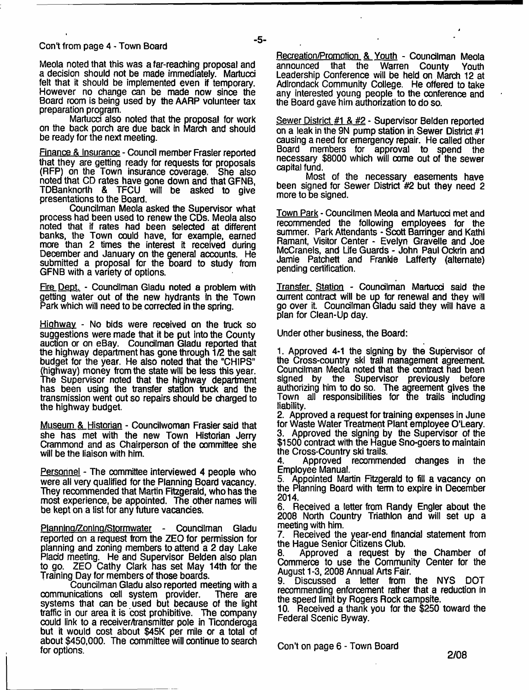#### Cont from page 4 - Town Board

Meola noted that this was a far-reaching proposal and a decision should not be made immediately. Martucci felt that it should be implemented even if temporary. However no change can be made now since the Board room is being used by the AARP volunteer tax preparation program.

Martucci also noted that the proposal for work on the back porch are due back in March and should be ready for the next meeting.

Finance & Insurance - Council member Frasier reported that they are getting ready for requests for proposals (RFP) on the Town insurance coverage. She also noted that CD rates have gone down and that GFNB, TDBanknorth & TFCU will be asked to give presentations to the Board.

Councilman Meola asked the Supervisor what process had been used to renew the CDs. Meola also noted that if rates had been selected at different banks, the Town could have, for example, earned more than 2 times the interest it received during December and January on the general accounts. He submitted a proposal for the board to study from GFNB with a variety of options.

Fire Dept. - Councilman Gladu noted a problem with getting water out of the new hydrants in the Town Park which will need to be corrected in the spring.

Highway - No bids were received on the truck so suggestions were made that it be put into the County auction or on eBay. Councilman Gladu reported that the highway department has gone through 1/2 the salt budget for the year. He also noted that the "CHIPS" (highway) money from the state will be less this year. The Supervisor noted that the highway department has been using the transfer station truck and the transmission went out so repairs should be charged to the highway budget.

Museum & Historian - Councilwoman Frasier said that she has met with the new Town Historian Jerry Crammond and as Chairperson of the committee she will be the liaison with him.

Personnel - The committee interviewed 4 people who were all very qualified for the Planning Board vacancy. They recommended that Martin Fitzgerald, who has the most experience, be appointed. The other names will be kept on a list for any future vacancies.

Planning/Zoning/Stormwater - Councilman Gladu reported on a request from the ZEO for permission for planning and zoning members to attend a 2 day Lake Placid meeting. He and Supervisor Belden also plan to go. ZEO Cathy Clark has set May 14th for the Training Day for members of those boards.

Councilman Gladu also reported meeting with a communications cell system provider. There are systems that can be used but because of the light traffic in our area it is cost prohibitive. The company could link to a receiver/transmitter pole in Ticonderoga but it would cost about \$45K per mile or a total of about \$450,000. The committee will continue to search for options.

Recreation/Promotion & Youth - Councilman Meola<br>announced that the Warren County Youth announced that the Warren County Youth Leadership Conference will be held on March 12 at Adirondack Community College. He offered to take any interested young people to the conference and the Board gave him authonzation to do so.

Sewer District #1 & #2 - Supervisor Belden reported on a leak in the 9N pump station in Sewer District #1 causing a need for emergency repair. He called other Board members for approval to spend the necessary \$8000 which will come out of the sewer capital fund.

Most of the necessary easements have been signed for Sewer District #2 but they need 2 more to be signed.

Town Park - Councilmen Meola and Martucd met and recommended the following employees for the summer. Park Attendants - Scott Barringer and Kathi Ramant, Visitor Center - Evelyn Gravelle and Joe McCranels, and Life Guards - John Paul Ockrin and Jamie Patchett and Frankie Lafferty (alternate) pending certification.

Transfer Station - Councilman Martucci said the current contract will be up for renewal and they will go over it. Councilman Gladu said they will have a plan for Clean-Up day.

Under other business, the Board:

1. Approved 4-1 the signing by the Supervisor of the Cross-country ski trail management agreement Councilman Meola noted that the contract had been signed by the Supervisor previously before authorizing him to do so. The agreement gives the Town all responsibilities for the trails including liability.

2. Approved a request for training expenses in June for Waste Water Treatment Plant employee O'Leary. 3. Approved the signing by the Supervisor of the \$1500 contract with the Hague Sno-goers to maintain the Cross-Country ski trails.

4. Approved recommended changes in the Employee Manual.

5. Appointed Martin Fitzgerald to fill a vacancy on the Planning Board with term to expire in December 2014.

6. Received a letter from Randy Engler about the 2008 North Country Triathlon and will set up a meeting with him.

7. Received the year-end financial statement from the Hague Senior Citizens Club.

8. Approved a request by the Chamber of Commerce to use the Community Center for the August 1-3,2008 Annual Arts Fair.

9. Discussed a letter from the NYS DOT recommending enforcement rather that a reduction in the speed limit by Rogers Rock campsite.

10. Received a thank you for the \$250 toward the Federal Scenic Byway.

Con't on page 6 - Town Board

**2/08**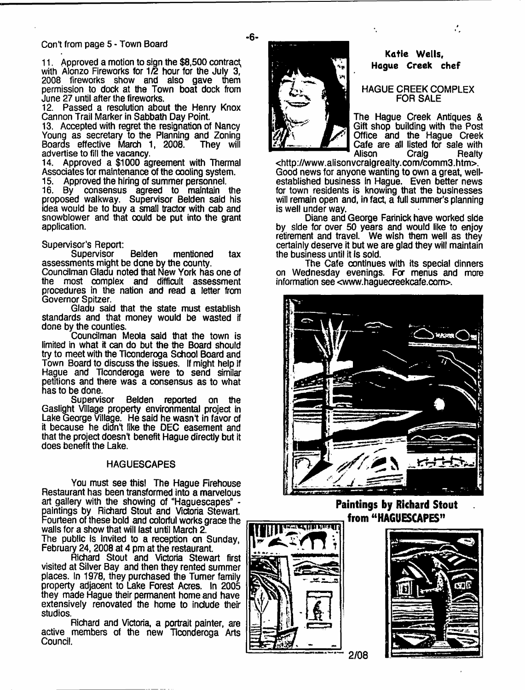#### Con't from page 5 - Town Board

11. Approved a motion to sign the \$8,500 contract^ with Alonzo Fireworks for 1/2 hour for the July 3, 2008 fireworks show and also gave them permission to dock at the Town boat dock from June 27 until after the fireworks.

12. Passed a resolution about the Henry Knox Cannon Trail Marker in Sabbath Day Point

13. Accepted with regret the resignation of Nancy Young as secretary to the Planning and Zoning Boards effective March 1, 2008. advertise to fill the vacancy.

14. Approved a \$1000 agreement with Thermal Associates for maintenance of the cooling system. 15. Approved the hiring of summer personnel.

16. By consensus agreed to maintain the proposed walkway. Supervisor Belden said his idea would be to buy a small tractor with cab and snowblower and that could be put into the grant application.

#### Supervisor's Report:

Supervisor Belden mentioned tax assessments might be done by the county.

Councilman Gladu noted that New York has one of the most complex and difficult assessment procedures in the nation and read a letter from Governor Spitzer.

Gladu said that the state must establish standards and that money would be wasted if done by the counties.

Councilman Meola said that the town is limited in what it can do but the the Board should try to meet with the Ticonderoga School Board and Town Board to discuss the issues. If might help if Hague and Ticonderoga were to send similar petitions and there was a consensus as to what has to be done.

Belden reported on the Gaslight Village property environmental project in Lake George Village. He said he wasnt in favor of it because he didnt like the DEC easement and that the project doesn't benefit Hague directly but it does benefit the Lake.

#### **HAGUESCAPES**

You must see this! The Hague Firehouse Restaurant has been transformed into a marvelous art gallery with the showing of "Haguescapes" paintings by Richard Stout and Victoria Stewart. Fourteen of these bold and colorful works grace the walls for a show that will last until March 2. The public is invited to a reception on Sunday,

February 24,2008 at 4 pm at the restaurant.

Richard Stout and Victoria Stewart first visited at Silver Bay and then they rented summer places. In 1978, they purchased the Turner family property adjacent to Lake Forest Acres. In 2005 they made Hague their permanent home and have extensively renovated the home to include their studios.

Richard and Victoria, a portrait painter, are active members of the new Ticonderoga Arts Council.



### **Katie Wells, Hague Creek chef**

A.

#### HAGUE CREEK COMPLEX FOR SALE

The Hague Creek Antiques & Gift shop building with the Post Office and the Hague Creek Cafe are all listed for sale with<br>Alison Craig Realty Alison Craig Realty

<[http://www.alisonvcralgrealty.com/comm3.htm>](http://www.alisonvcralgrealty.com/comm3.htm). Good news for anyone wanting to own a great, wellestablished business in Hague. Even better news for town residents is knowing that the businesses will remain open and, in fact, a full summer's planning is well under way.

÷.

Diane and George Farinick have worked side by side for over 50 years and would like to enjoy retirement and travel. We wish them well as they certainly deserve it but we are glad they will maintain the business until it Is sold.

The Cafe continues with its special dinners on Wednesday evenings. For menus and more information see <www.haguecreekcafe.com>.



#### **Paintings by Richard Stout from " HAGUESCAPES"** म दलामाण्या

~ **2/08**





- **6**-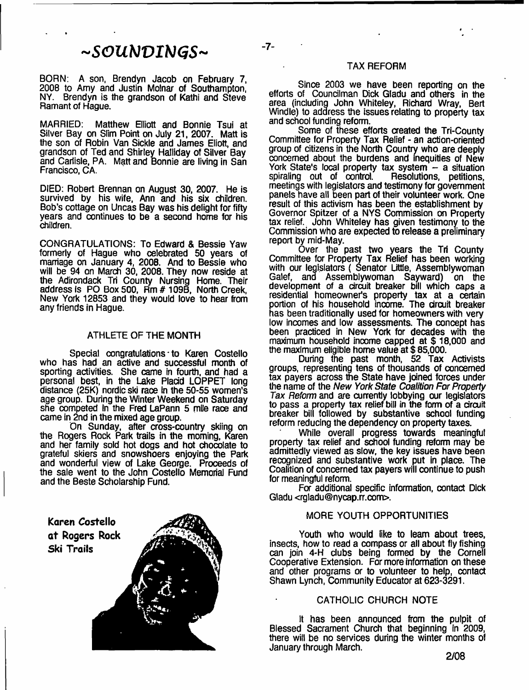# *-SOUNVINGS-*

-7-

BORN: A son, Brendyn Jacob on February 7, 2008 to Amy and Justin Molnar of Southampton, NY. Brendyn is the grandson of Kathi and Steve Ramant of Hague.

MARRIED: Matthew Elliott and Bonnie Tsui at Silver Bay on Slim Point on July 21, 2007. Matt is the son of Robin Van Sickle and James Eliott, and grandson of Ted and Shirley Halliday of Silver Bay and Carlisle, PA. Matt and Bonnie are living in San Francisco, CA.

DIED: Robert Brennan on August 30, 2007. He is survived by his wife, Ann and his six children. Bob's cottage on Uncas Bay was his delight for fifty years and continues to be a second home for his children.

CONGRATULATIONS: To Edward & Bessie Yaw formerly of Hague who celebrated 50 years of marriage on January 4, 2008. And to Bessie who will be 94 on March 30, 2008. They now reside at the Adirondack Tri County Nursing Home. Their address Is PO Box 500, Rm # 109B, North Creek, New York 12853 and they would love to hear from any friends in Hague.

#### ATHLETE OF THE MONTH

Special congratulations to Karen Costello who has had an active and successful month of sporting activities. She came in fourth, and had a personal best, in the Lake Placid LOPPET long distance (25K) nordic ski race in the 50-55 women's age group. During the Winter Weekend on Saturday she competed In the Fred LaPann 5 mile race and came in 2nd in the mixed age group.

On Sunday, after cross-country skiing on the Rogers Rock Park trails in the morning, Karen and her family sold hot dogs and hot chocolate to grateful skiers and snowshoers enjoying the Park and wonderful view of Lake George. Proceeds of the sale went to the John Costello Memorial Fund and the Beste Scholarship Fund.

Karen Costello at Rogers Rock Ski Trails

#### TAX REFORM

Since 2003 we have been reporting on the efforts of Councilman Dick Gladu and others in the area (including John Whiteley, Richard Wray, Bert Windle) to address the issues relating to property tax and school funding reform.

Some of these efforts created the Tri-County Committee for Property Tax Relief - an action-oriented group of citizens in the North Country who are deeply concerned about the burdens and inequities of New York State's local property tax system - a situation<br>spiraling out of control. Resolutions, petitions, spiraling out of control. meetings with legislators and testimony for government panels have all been part of their volunteer work. One result of this activism has been the establishment by Governor Spitzer of a NYS Commission on Property tax relief. John Whiteley has given testimony to the Commission who are expected to release a preliminary report by mid-May.

Over the past two years the Tri County Committee for Property Tax Relief has been working with our legislators ( Senator Little, Assemblywoman Galef, and Assemblywoman Sayward) on the development of a circuit breaker bill which caps a residential homeowner's property tax at a certain aortion of his household income. The circuit breaker has been traditionally used for homeowners with very low incomes and low assessments. The concept has been practiced in New York for decades with the maximum household income capped at \$ 18,000 and the maximum eligible home value at \$ 85,000.

During the past month, 52 Tax Activists groups, representing tens of thousands of concerned tax payers across the State have joined forces under the name of the *New York State Coalition For Property Tax Reform* and are currently lobbying our legislators to pass a property tax relief bill in the form of a circuit breaker bill followed by substantive school funding reform reducing the dependency on property taxes.

While overall progress towards meaningful property tax relief and school funding reform may be admittedly viewed as slow, the key issues have been recognized and substantive work put in place. The Coalition of concerned tax payers will continue to push for meaningful reform.

For additional specific information, contact Dick Gladu <[rgladu@nycap.rr.com](mailto:rgladu@nycap.rr.com)>.

#### MORE YOUTH OPPORTUNITIES

Youth who would like to leam about trees, insects, how to read a compass or all about fly fishing can join 4-H clubs being formed by the Cornell Cooperative Extension. For more information on these and other programs or to volunteer to help, contact Shawn Lynch, Community Educator at 623-3291.

#### CATHOLIC CHURCH NOTE

It has been announced from the pulpit of Blessed Sacrament Church that beginning in 2009, there will be no services during the winter months of January through March.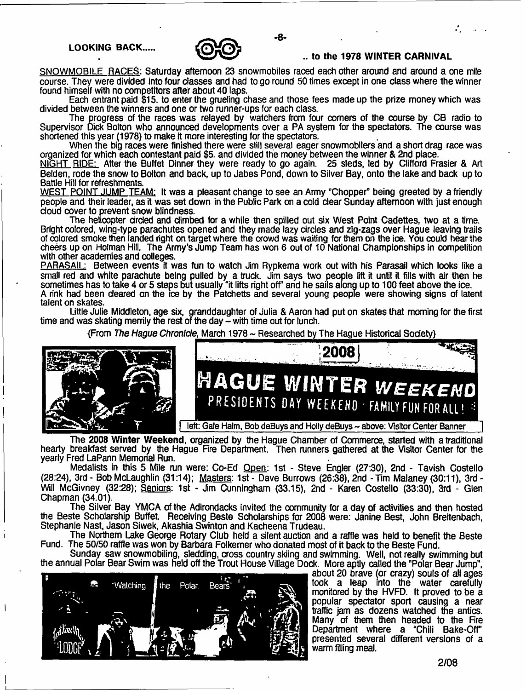#### **LOOKING BACK.**



#### **to the 1978 WINTER CARNIVAL**

SNOWMOBILE RACES: Saturday afternoon 23 snowmobiles raced each other around and around a one mile course. They were divided into four classes and had to go round 50 times except in one class where the winner found himself with no competitors after about 40 laps.

- **8**-

Each entrant paid \$15. to enter the grueling chase and those fees made up the prize money which was divided between the winners and one or two runner-ups for each class.

The progress of the races was relayed by watchers from four comers of the course by CB radio to Supervisor Dick Bolton who announced developments over a PA system for the spectators. The course was shortened this year (1978) to make it more interesting for the spectators.

When the big races were finished there were still several eager snowmobllers and a short drag race was organized for which each contestant paid \$5. and divided the money between the winner & 2nd place.

NIGHT RIDE: After the Buffet Dinner they were ready to go again. 25 sleds, led by Clifford Frasier & Art Belden, rode the snow to Bolton and back, up to Jabes Pond, down to Silver Bay, onto the lake and back up to Battle Hill for refreshments.

WEST POINT JUMP TEAM: It was a pleasant change to see an Army "Chopper" being greeted by a friendly people and their leader, as it was set down in the Public Park on a cold dear Sunday afternoon with just enough cloud cover to prevent snow blindness.

The helicopter cirded and dimbed for a while then spilled out six West Point Cadettes, two at a time. Bright colored, wing-type parachutes opened and they made lazy circles and zig-zags over Hague leaving trails of colored smoke then landed right on target where the crowd was waiting for them on the ice. You could hear the cheers up on Holman Hill. The Army's Jump Team has won 6 out of 10 National Championships in competition with other academies and colleges.

**PARASAIL:** Between events it was fun to watch Jim Rypkema work out with his Parasail which looks like a small red and white parachute being pulled by a truck. Jim says two people lift it until it fills with air then he sometimes has to take 4 or 5 steps but usually "it lifts right off' and he sails along up to 100 feet above the ice. A rink had been cleared on the loe by the Patchetts and several young people were showing signs of latent talent on skates.

Little Julie Middleton, age six, granddaughter of Julia & Aaron had put on skates that morning for the first time and was skating merrily the rest of the day  $\frac{1}{2}$  with time out for lunch.

{From *The Hague Chronicle*, March 1978 ~ Researched by The Hague Historical Society}



The **2008 Winter Weekend,** organized by the Hague Chamber of Commerce, started with a traditional hearty breakfast served by the Hague Fire Department. Then runners gathered at the Visitor Center for the yearly Fred LaPann Memorial Run.

Medalists in this 5 Mile run were: Co-Ed Open: 1st - Steve Engler (27:30), 2nd - Tavish Costello (28:24), 3rd - Bob McLaughlin (31:14); Masters: 1st - Dave Burrows (26:38), 2nd - Tim Malaney (30:11), 3rd - Will McGivney (32:28); Seniors: 1st - Jim Cunningham (33.15), 2nd - Karen Costello (33:30), 3rd - Glen Chapman (34.01).

The Silver Bay YMCA of the Adirondacks invited the community for a day of activities and then hosted the Beste Scholarship Buffet. Receiving Beste Scholarships for 2008 were: Janine Best, John Breitenbach, Stephanie Nast, Jason Siwek, Akashia Swinton and Kacheena Trudeau.

The Northern Lake George Rotary Club held a silent auction and a raffle was held to benefit the Beste Fund. The 50/50 raffle was won by Barbara Folkemer who donated most of it back to the Beste Fund.

Sunday saw snowmobiling, sledding, cross country skiing and swimming. Well, not really swimming but the annual Polar Bear Swim was held off the Trout House Village Dock. More aptly called the "Polar Bear Jump",



about 20 brave (or crazy) souls of all ages took a leap into the water carefully monitored by the HVFD. It proved to be a popular spectator sport causing a near traffic jam as dozens watched the antics. Many of them then headed to the Fire Department where a "Chili Bake-Off" presented several different versions of a warm filling meal.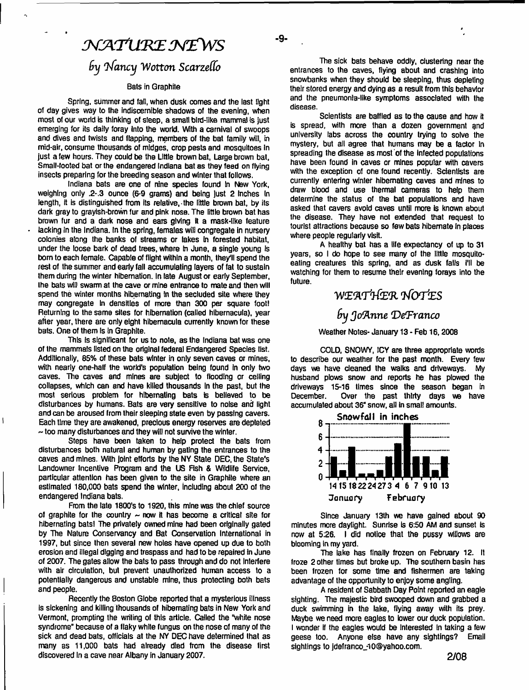# $\mathcal{N}$ ATURE NEWS

# *9y r^fancy Wotton ScarzeHo*

#### **Bats in Graphite**

**Spring, summer and fall, when dusk comes and the last light of day gives way to the indiscernible shadows of the evening, when most of our world is thinking of sleep, a small blrd-like mamma) is just emerging for its daily foray Into the world. With a carnival of swoops and dives and twists and flapping, members of the bat family will, in mid-air, consume thousands of midges, crop pests and mosquitoes In just a few hours. They could be the Little brown bat, Large brown bat, Small-footed bat or the endangered Indiana bat as they feed on flying insects preparing for the breeding season and winter that follows.**

**Indiana bats are one of nine species found in New York, weighing only .2-.3 ounce (6-9 grams) and being Just 2 Inches In length, It is distinguished from its relative, the little brown bat, by its dark gray to grayish-brown fur and pink nose. The little brown bat has brown fur and a dark nose and ears giving it a mask-like leature lacking In the Indiana. In the spring, females will congregate in nursery colonies along the banks of streams or lakes In forested habitat, under the loose bark of dead trees, where in June, a single young Is bom to each female. Capable of flight within a month, they'll spend the rest of the summer and early fall accumulating layers of fat to sustain them during the winter hibernation. In late August or early September, Ihe bats wfll swarm at the cave or mine entrance to mate and then will spend the winter months hibernating in the secluded site where they may congregate In densities of more than 300 per square footl Returning to the same sites for hibernation (called hlbernacula), year after year, there are only eight hibemacula currently known for these bats. One of them Is In Graphite.**

**This Is signillcant for us to note, as the Indiana bat was one of the mammals listed on the original federal Endangered Species list. Additionally, 65% of these bats winter in only seven caves or mines, with nearly one-half the world's population being found in only two caves. The caves and mines are subject to flooding or ceiling collapses, which can and have killed thousands In the past, but the most serious problem for hibernating bats is believed to be disturbances by humans. Bats are very sensitive to noise and light and can be aroused from their sleeping state even by passing cavers. Each time they are awakened, precious energy reserves are depleted ~ too many disturbances and they will not survive the winter.**

 $\overline{\phantom{a}}$ 

**Steps have been taken to help protect the bats from disturbances both natural and human by gating the entrances to the caves and mines. With joint efforts by the NY State DEC, the State's Landowner Incentive Program and the US Hsh & Wildlife Service, particular attention has been given to the site in Graphite where an estimated 180,000 bats spend the winter, including about 200 of the endangered Indiana bats.**

**From the late 1800's to 1920, this mine was the chief source of graphite for the country ~ now it has become a critical site for** hibernating bats! The privately owned mine had been originally gated **by The Nature Conservancy and Bat Conservation International in 1997, but since then several new holes have opened up due to both erosion and Illegal digging and trespass and had to be repaired in June of 2007. The gates allow the bats to pass through and do not Interfere with air circulation, but prevent unauthorized human access to a potentially dangerous and unstable mine, thus protecting both bats and people.**

**Recently the Boston Globe reported that a mysterious Illness is sickening and killing thousands of hibernating bats in New York and Vermont, prompting the writing of this article. Called the "white nose syndrome" because of a flaky white fungus on the nose of many of the sick and dead bats, officials at the NY DEC have determined that as many as 11,000 bats had already died from the disease first discovered In a cave near Albany in January 2007.**

**The sick bats behave oddly, clustering near the entrances to the caves, flying about and crashing into snowbanks when they should be sleeping, thus depleting their stored energy and dying as a result from this behavior and the pneumonia-like symptoms associated with the disease.**

**-9-**

**Scientists are baffled as to the cause and how it is spread, with more than a dozen government and university labs across the country trying to solve the mystery, but all agree that humans may be a factor In spreading the disease as most of the infected populations have been found in caves or mines popular with cavers with the exception of one found recently. Scientists are currently entering winter hibernating caves and mines to draw blood and use thermal cameras to help them determine the status of the bat populations and have asked that cavers avoid caves until more Is known about the disease. They have not extended that request to tourist attractions because so few bats hibernate In places where people regularly visit.**

**A healthy bat has a life expectancy of up to** 31 **years, so I do hope to see many of the little mosquitoeating creatures this spring, and as dusk falls I'll be watching for them to resume their evening forays into the future.**

# **VWEWrtfiER** *Tfortes*

## *9y Joflnne (DeTranco*

#### **Weather Notes- January** 13 **- Feb** 16,**2008**

**COLD, SNOWY, ICY are three appropriate words to describe our weather for the past month. Every few days we have cleaned the walks and driveways. My husband plows snow and reports he has plowed the driveways** 15-16 **times since the season began in December. Over the past thirty days we have accumulated about** 36" **snow, all in small amounts.**



**Since January 13th we have gained about 90 minutes more daylight. Sunrise Is 6:50 AM and sunset is now at 5:26. I did notice that the pussy willows are blooming in my yard.**

**The lake has finally frozen on February 12. It froze 2 other times but broke up. The southern basin has been frozen for some time and fishermen are taking advantage of the opportunity to enjoy some angling.**

**A resident of Sabbath Day Point reported an eagle sighting. The majestic bird swooped down and grabbed a duck swimming in the lake, flying away with its prey. Maybe we need more eagles to lower our duck population. I wonder if the eagles would be Interested In taking a few geese too. Anyone else have any sightings? Email sightings to [jdefranco\\_-lO@yahoo.com](mailto:jdefranco_-lO@yahoo.com).**